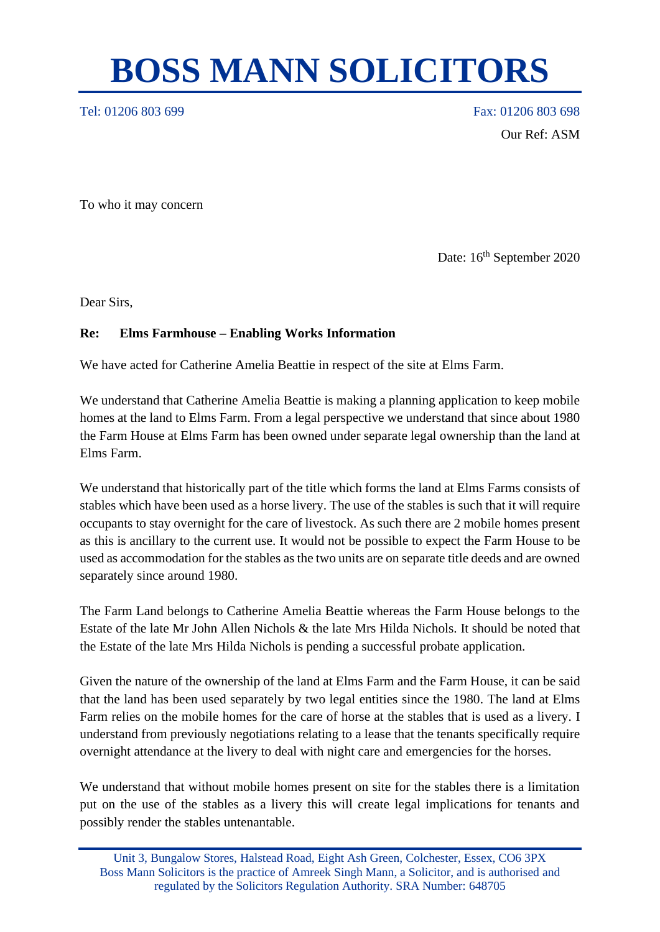## **BOSS MANN SOLICITORS**

Tel: 01206 803 699 Fax: 01206 803 699 Our Ref: ASM

To who it may concern

Date: 16<sup>th</sup> September 2020

Dear Sirs,

## **Re: Elms Farmhouse – Enabling Works Information**

We have acted for Catherine Amelia Beattie in respect of the site at Elms Farm.

We understand that Catherine Amelia Beattie is making a planning application to keep mobile homes at the land to Elms Farm. From a legal perspective we understand that since about 1980 the Farm House at Elms Farm has been owned under separate legal ownership than the land at Elms Farm.

We understand that historically part of the title which forms the land at Elms Farms consists of stables which have been used as a horse livery. The use of the stables is such that it will require occupants to stay overnight for the care of livestock. As such there are 2 mobile homes present as this is ancillary to the current use. It would not be possible to expect the Farm House to be used as accommodation for the stables as the two units are on separate title deeds and are owned separately since around 1980.

The Farm Land belongs to Catherine Amelia Beattie whereas the Farm House belongs to the Estate of the late Mr John Allen Nichols & the late Mrs Hilda Nichols. It should be noted that the Estate of the late Mrs Hilda Nichols is pending a successful probate application.

Given the nature of the ownership of the land at Elms Farm and the Farm House, it can be said that the land has been used separately by two legal entities since the 1980. The land at Elms Farm relies on the mobile homes for the care of horse at the stables that is used as a livery. I understand from previously negotiations relating to a lease that the tenants specifically require overnight attendance at the livery to deal with night care and emergencies for the horses.

We understand that without mobile homes present on site for the stables there is a limitation put on the use of the stables as a livery this will create legal implications for tenants and possibly render the stables untenantable.